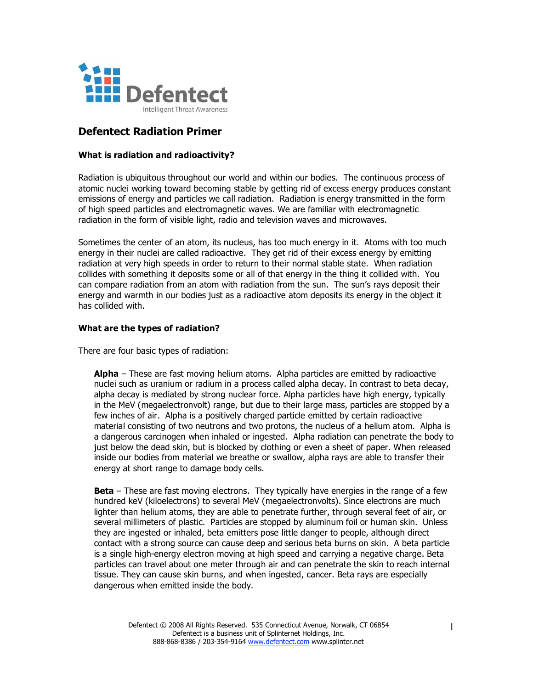

# **Defentect Radiation Primer**

### **What is radiation and radioactivity?**

Radiation is ubiquitous throughout our world and within our bodies. The continuous process of atomic nuclei working toward becoming stable by getting rid of excess energy produces constant emissions of energy and particles we call radiation. Radiation is energy transmitted in the form of high speed particles and electromagnetic waves. We are familiar with electromagnetic radiation in the form of visible light, radio and television waves and microwaves.

Sometimes the center of an atom, its nucleus, has too much energy in it. Atoms with too much energy in their nuclei are called radioactive. They get rid of their excess energy by emitting radiation at very high speeds in order to return to their normal stable state. When radiation collides with something it deposits some or all of that energy in the thing it collided with. You can compare radiation from an atom with radiation from the sun. The sun's rays deposit their energy and warmth in our bodies just as a radioactive atom deposits its energy in the object it has collided with.

### **What are the types of radiation?**

There are four basic types of radiation:

**Alpha** – These are fast moving helium atoms. Alpha particles are emitted by radioactive nuclei such as uranium or radium in a process called alpha decay. In contrast to beta decay, alpha decay is mediated by strong nuclear force. Alpha particles have high energy, typically in the MeV (megaelectronvolt) range, but due to their large mass, particles are stopped by a few inches of air. Alpha is a positively charged particle emitted by certain radioactive material consisting of two neutrons and two protons, the nucleus of a helium atom. Alpha is a dangerous carcinogen when inhaled or ingested. Alpha radiation can penetrate the body to just below the dead skin, but is blocked by clothing or even a sheet of paper. When released inside our bodies from material we breathe or swallow, alpha rays are able to transfer their energy at short range to damage body cells.

**Beta** – These are fast moving electrons. They typically have energies in the range of a few hundred keV (kiloelectrons) to several MeV (megaelectronvolts). Since electrons are much lighter than helium atoms, they are able to penetrate further, through several feet of air, or several millimeters of plastic. Particles are stopped by aluminum foil or human skin. Unless they are ingested or inhaled, beta emitters pose little danger to people, although direct contact with a strong source can cause deep and serious beta burns on skin. A beta particle is a single high-energy electron moving at high speed and carrying a negative charge. Beta particles can travel about one meter through air and can penetrate the skin to reach internal tissue. They can cause skin burns, and when ingested, cancer. Beta rays are especially dangerous when emitted inside the body.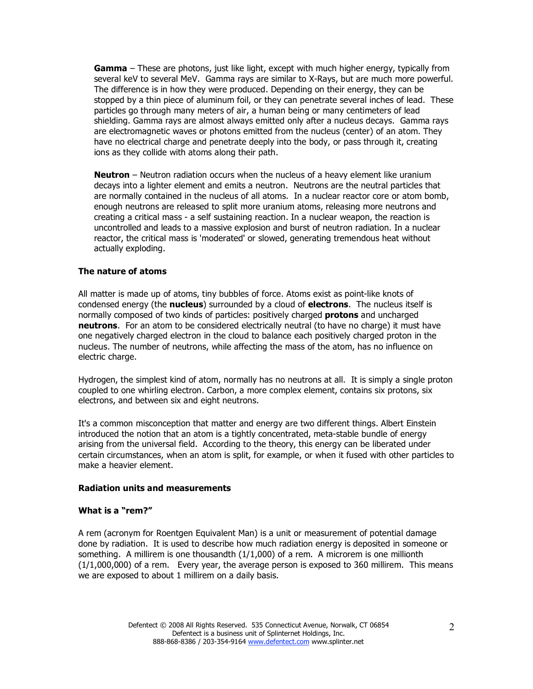**Gamma** – These are photons, just like light, except with much higher energy, typically from several keV to several MeV. Gamma rays are similar to X-Rays, but are much more powerful. The difference is in how they were produced. Depending on their energy, they can be stopped by a thin piece of aluminum foil, or they can penetrate several inches of lead. These particles go through many meters of air, a human being or many centimeters of lead shielding. Gamma rays are almost always emitted only after a nucleus decays. Gamma rays are electromagnetic waves or photons emitted from the nucleus (center) of an atom. They have no electrical charge and penetrate deeply into the body, or pass through it, creating ions as they collide with atoms along their path.

**Neutron** – Neutron radiation occurs when the nucleus of a heavy element like uranium decays into a lighter element and emits a neutron. Neutrons are the neutral particles that are normally contained in the nucleus of all atoms. In a nuclear reactor core or atom bomb, enough neutrons are released to split more uranium atoms, releasing more neutrons and creating a critical mass - a self sustaining reaction. In a nuclear weapon, the reaction is uncontrolled and leads to a massive explosion and burst of neutron radiation. In a nuclear reactor, the critical mass is 'moderated' or slowed, generating tremendous heat without actually exploding.

### **The nature of atoms**

All matter is made up of atoms, tiny bubbles of force. Atoms exist as point-like knots of condensed energy (the **nucleus**) surrounded by a cloud of **electrons**. The nucleus itself is normally composed of two kinds of particles: positively charged **protons** and uncharged **neutrons**. For an atom to be considered electrically neutral (to have no charge) it must have one negatively charged electron in the cloud to balance each positively charged proton in the nucleus. The number of neutrons, while affecting the mass of the atom, has no influence on electric charge.

Hydrogen, the simplest kind of atom, normally has no neutrons at all. It is simply a single proton coupled to one whirling electron. Carbon, a more complex element, contains six protons, six electrons, and between six and eight neutrons.

It's a common misconception that matter and energy are two different things. Albert Einstein introduced the notion that an atom is a tightly concentrated, meta-stable bundle of energy arising from the universal field. According to the theory, this energy can be liberated under certain circumstances, when an atom is split, for example, or when it fused with other particles to make a heavier element.

### **Radiation units and measurements**

#### **What is a "rem?"**

A rem (acronym for Roentgen Equivalent Man) is a unit or measurement of potential damage done by radiation. It is used to describe how much radiation energy is deposited in someone or something. A millirem is one thousandth  $(1/1,000)$  of a rem. A microrem is one millionth  $(1/1,000,000)$  of a rem. Every year, the average person is exposed to 360 millirem. This means we are exposed to about 1 millirem on a daily basis.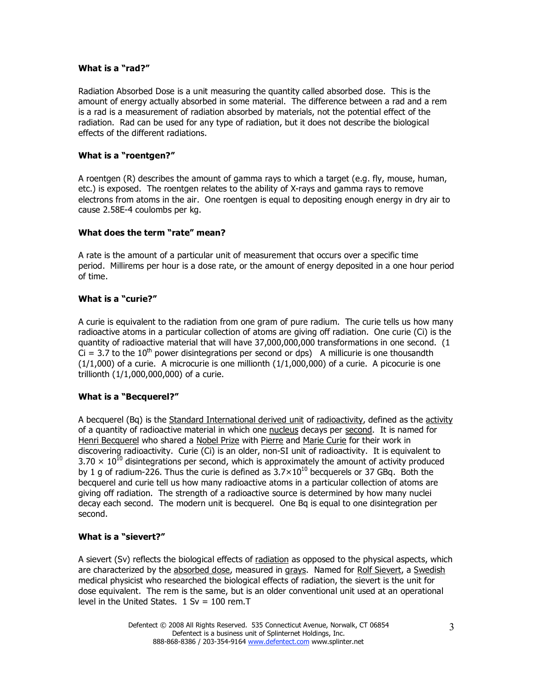# **What is a "rad?"**

Radiation Absorbed Dose is a unit measuring the quantity called absorbed dose. This is the amount of energy actually absorbed in some material. The difference between a rad and a rem is a rad is a measurement of radiation absorbed by materials, not the potential effect of the radiation. Rad can be used for any type of radiation, but it does not describe the biological effects of the different radiations.

# **What is a "roentgen?"**

A roentgen (R) describes the amount of gamma rays to which a target (e.g. fly, mouse, human, etc.) is exposed. The roentgen relates to the ability of X-rays and gamma rays to remove electrons from atoms in the air. One roentgen is equal to depositing enough energy in dry air to cause 2.58E-4 coulombs per kg.

# **What does the term "rate" mean?**

A rate is the amount of a particular unit of measurement that occurs over a specific time period. Millirems per hour is a dose rate, or the amount of energy deposited in a one hour period of time.

# **What is a "curie?"**

A curie is equivalent to the radiation from one gram of pure radium. The curie tells us how many radioactive atoms in a particular collection of atoms are giving off radiation. One curie (Ci) is the quantity of radioactive material that will have 37,000,000,000 transformations in one second. (1  $Ci = 3.7$  to the 10<sup>th</sup> power disintegrations per second or dps) A millicurie is one thousandth  $(1/1,000)$  of a curie. A microcurie is one millionth  $(1/1,000,000)$  of a curie. A picocurie is one trillionth (1/1,000,000,000) of a curie.

# **What is a "Becquerel?"**

A becquerel (Bq) is the Standard International derived unit of radioactivity, defined as the activity of a quantity of radioactive material in which one nucleus decays per second. It is named for Henri Becquerel who shared a Nobel Prize with Pierre and Marie Curie for their work in discovering radioactivity. Curie (Ci) is an older, non-SI unit of radioactivity. It is equivalent to  $3.70 \times 10^{10}$  disintegrations per second, which is approximately the amount of activity produced by 1 g of radium-226. Thus the curie is defined as  $3.7\times10^{10}$  becquerels or 37 GBq. Both the becquerel and curie tell us how many radioactive atoms in a particular collection of atoms are giving off radiation. The strength of a radioactive source is determined by how many nuclei decay each second. The modern unit is becquerel. One Bq is equal to one disintegration per second.

# **What is a "sievert?"**

A sievert (Sv) reflects the biological effects of radiation as opposed to the physical aspects, which are characterized by the absorbed dose, measured in grays. Named for Rolf Sievert, a Swedish medical physicist who researched the biological effects of radiation, the sievert is the unit for dose equivalent. The rem is the same, but is an older conventional unit used at an operational level in the United States.  $1 Sv = 100 rem.T$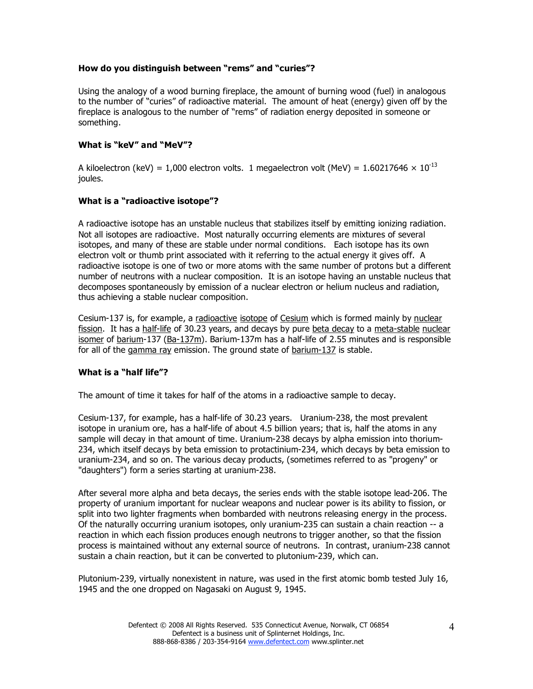# **How do you distinguish between "rems" and "curies"?**

Using the analogy of a wood burning fireplace, the amount of burning wood (fuel) in analogous to the number of "curies" of radioactive material. The amount of heat (energy) given off by the fireplace is analogous to the number of "rems" of radiation energy deposited in someone or something.

# **What is "keV" and "MeV"?**

A kiloelectron (keV) = 1,000 electron volts. 1 megaelectron volt (MeV) =  $1.60217646 \times 10^{-13}$ joules.

# **What is a "radioactive isotope"?**

A radioactive isotope has an unstable nucleus that stabilizes itself by emitting ionizing radiation. Not all isotopes are radioactive. Most naturally occurring elements are mixtures of several isotopes, and many of these are stable under normal conditions. Each isotope has its own electron volt or thumb print associated with it referring to the actual energy it gives off. A radioactive isotope is one of two or more atoms with the same number of protons but a different number of neutrons with a nuclear composition. It is an isotope having an unstable nucleus that decomposes spontaneously by emission of a nuclear electron or helium nucleus and radiation, thus achieving a stable nuclear composition.

Cesium-137 is, for example, a radioactive isotope of Cesium which is formed mainly by nuclear fission. It has a half-life of 30.23 years, and decays by pure beta decay to a meta-stable nuclear isomer of barium-137 (Ba-137m). Barium-137m has a half-life of 2.55 minutes and is responsible for all of the gamma ray emission. The ground state of barium-137 is stable.

# **What is a "half life"?**

The amount of time it takes for half of the atoms in a radioactive sample to decay.

Cesium-137, for example, has a half-life of 30.23 years. Uranium-238, the most prevalent isotope in uranium ore, has a half-life of about 4.5 billion years; that is, half the atoms in any sample will decay in that amount of time. Uranium-238 decays by alpha emission into thorium-234, which itself decays by beta emission to protactinium-234, which decays by beta emission to uranium-234, and so on. The various decay products, (sometimes referred to as "progeny" or "daughters") form a series starting at uranium-238.

After several more alpha and beta decays, the series ends with the stable isotope lead-206. The property of uranium important for nuclear weapons and nuclear power is its ability to fission, or split into two lighter fragments when bombarded with neutrons releasing energy in the process. Of the naturally occurring uranium isotopes, only uranium-235 can sustain a chain reaction -- a reaction in which each fission produces enough neutrons to trigger another, so that the fission process is maintained without any external source of neutrons. In contrast, uranium-238 cannot sustain a chain reaction, but it can be converted to plutonium-239, which can.

Plutonium-239, virtually nonexistent in nature, was used in the first atomic bomb tested July 16, 1945 and the one dropped on Nagasaki on August 9, 1945.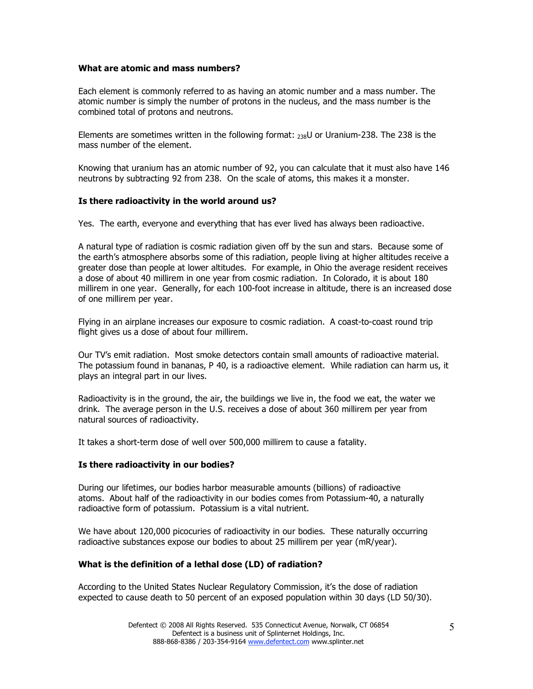### **What are atomic and mass numbers?**

Each element is commonly referred to as having an atomic number and a mass number. The atomic number is simply the number of protons in the nucleus, and the mass number is the combined total of protons and neutrons.

Elements are sometimes written in the following format:  $_{238}$ U or Uranium-238. The 238 is the mass number of the element.

Knowing that uranium has an atomic number of 92, you can calculate that it must also have 146 neutrons by subtracting 92 from 238. On the scale of atoms, this makes it a monster.

### **Is there radioactivity in the world around us?**

Yes. The earth, everyone and everything that has ever lived has always been radioactive.

A natural type of radiation is cosmic radiation given off by the sun and stars. Because some of the earth's atmosphere absorbs some of this radiation, people living at higher altitudes receive a greater dose than people at lower altitudes. For example, in Ohio the average resident receives a dose of about 40 millirem in one year from cosmic radiation. In Colorado, it is about 180 millirem in one year. Generally, for each 100-foot increase in altitude, there is an increased dose of one millirem per year.

Flying in an airplane increases our exposure to cosmic radiation. A coast-to-coast round trip flight gives us a dose of about four millirem.

Our TV's emit radiation. Most smoke detectors contain small amounts of radioactive material. The potassium found in bananas, P 40, is a radioactive element. While radiation can harm us, it plays an integral part in our lives.

Radioactivity is in the ground, the air, the buildings we live in, the food we eat, the water we drink. The average person in the U.S. receives a dose of about 360 millirem per year from natural sources of radioactivity.

It takes a short-term dose of well over 500,000 millirem to cause a fatality.

#### **Is there radioactivity in our bodies?**

During our lifetimes, our bodies harbor measurable amounts (billions) of radioactive atoms. About half of the radioactivity in our bodies comes from Potassium-40, a naturally radioactive form of potassium. Potassium is a vital nutrient.

We have about 120,000 picocuries of radioactivity in our bodies. These naturally occurring radioactive substances expose our bodies to about 25 millirem per year (mR/year).

# **What is the definition of a lethal dose (LD) of radiation?**

According to the United States Nuclear Regulatory Commission, it's the dose of radiation expected to cause death to 50 percent of an exposed population within 30 days (LD 50/30).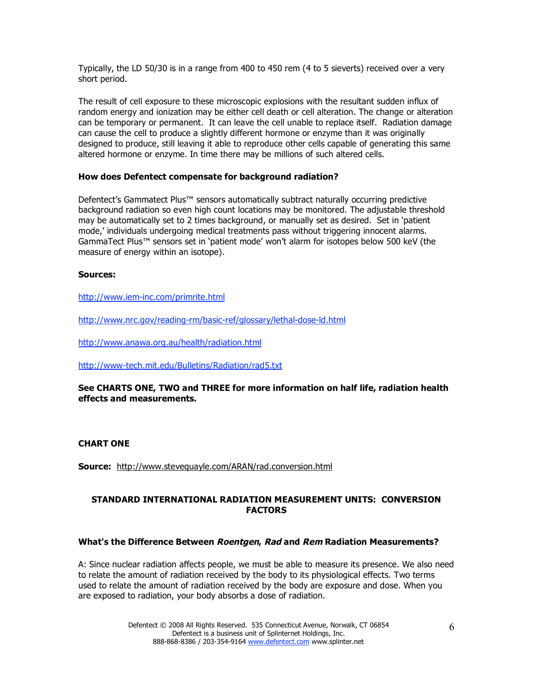Typically, the LD 50/30 is in a range from 400 to 450 rem (4 to 5 sieverts) received over a very short period.

The result of cell exposure to these microscopic explosions with the resultant sudden influx of random energy and ionization may be either cell death or cell alteration. The change or alteration can be temporary or permanent. It can leave the cell unable to replace itself. Radiation damage can cause the cell to produce a slightly different hormone or enzyme than it was originally designed to produce, still leaving it able to reproduce other cells capable of generating this same altered hormone or enzyme. In time there may be millions of such altered cells.

### **How does Defentect compensate for background radiation?**

Defentect's Gammatect Plus™ sensors automatically subtract naturally occurring predictive background radiation so even high count locations may be monitored. The adjustable threshold may be automatically set to 2 times background, or manually set as desired. Set in 'patient mode,' individuals undergoing medical treatments pass without triggering innocent alarms. GammaTect Plus™ sensors set in 'patient mode' won't alarm for isotopes below 500 keV (the measure of energy within an isotope).

### **Sources:**

http://www.iem-inc.com/primrite.html

http://www.nrc.gov/reading-rm/basic-ref/glossary/lethal-dose-ld.html

http://www.anawa.org.au/health/radiation.html

http://www-tech.mit.edu/Bulletins/Radiation/rad5.txt

# **See CHARTS ONE, TWO and THREE for more information on half life, radiation health effects and measurements.**

#### **CHART ONE**

**Source:** http://www.stevequayle.com/ARAN/rad.conversion.html

# **STANDARD INTERNATIONAL RADIATION MEASUREMENT UNITS: CONVERSION FACTORS**

#### **What's the Difference Between Roentgen, Rad and Rem Radiation Measurements?**

A: Since nuclear radiation affects people, we must be able to measure its presence. We also need to relate the amount of radiation received by the body to its physiological effects. Two terms used to relate the amount of radiation received by the body are exposure and dose. When you are exposed to radiation, your body absorbs a dose of radiation.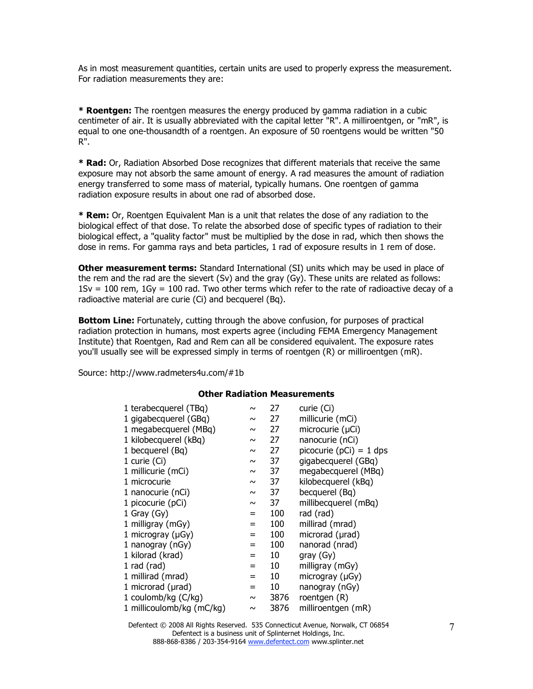As in most measurement quantities, certain units are used to properly express the measurement. For radiation measurements they are:

**\* Roentgen:** The roentgen measures the energy produced by gamma radiation in a cubic centimeter of air. It is usually abbreviated with the capital letter "R". A milliroentgen, or "mR", is equal to one one-thousandth of a roentgen. An exposure of 50 roentgens would be written "50 R".

**\* Rad:** Or, Radiation Absorbed Dose recognizes that different materials that receive the same exposure may not absorb the same amount of energy. A rad measures the amount of radiation energy transferred to some mass of material, typically humans. One roentgen of gamma radiation exposure results in about one rad of absorbed dose.

**\* Rem:** Or, Roentgen Equivalent Man is a unit that relates the dose of any radiation to the biological effect of that dose. To relate the absorbed dose of specific types of radiation to their biological effect, a "quality factor" must be multiplied by the dose in rad, which then shows the dose in rems. For gamma rays and beta particles, 1 rad of exposure results in 1 rem of dose.

**Other measurement terms:** Standard International (SI) units which may be used in place of the rem and the rad are the sievert (Sv) and the gray (Gy). These units are related as follows:  $1Sv = 100$  rem,  $1Gy = 100$  rad. Two other terms which refer to the rate of radioactive decay of a radioactive material are curie (Ci) and becquerel (Bq).

**Bottom Line:** Fortunately, cutting through the above confusion, for purposes of practical radiation protection in humans, most experts agree (including FEMA Emergency Management Institute) that Roentgen, Rad and Rem can all be considered equivalent. The exposure rates you'll usually see will be expressed simply in terms of roentgen (R) or milliroentgen (mR).

Source: http://www.radmeters4u.com/#1b

### **Other Radiation Measurements**

| 1 terabecquerel (TBq)     | $\sim$ | 27   | curie (Ci)              |
|---------------------------|--------|------|-------------------------|
|                           |        |      |                         |
| 1 gigabecquerel (GBq)     | $\sim$ | 27   | millicurie (mCi)        |
| 1 megabecquerel (MBq)     | $\sim$ | 27   | microcurie (µCi)        |
| 1 kilobecquerel (kBq)     | $\sim$ | 27   | nanocurie (nCi)         |
| 1 becquerel (Bq)          | $\sim$ | 27   | picocurie (pCi) = 1 dps |
| 1 curie (Ci)              | $\sim$ | 37   | gigabecquerel (GBq)     |
| 1 millicurie (mCi)        | $\sim$ | 37   | megabecquerel (MBq)     |
| 1 microcurie              | $\sim$ | 37   | kilobecquerel (kBq)     |
| 1 nanocurie (nCi)         | $\sim$ | 37   | becquerel (Bq)          |
| 1 picocurie (pCi)         | $\sim$ | 37   | millibecquerel (mBq)    |
| 1 Gray $(Gy)$             | $=$    | 100  | rad (rad)               |
| 1 milligray (mGy)         | $=$    | 100  | millirad (mrad)         |
| 1 microgray ( $\mu$ Gy)   | $=$    | 100  | microrad (µrad)         |
| 1 nanogray (nGy)          | $=$    | 100  | nanorad (nrad)          |
| 1 kilorad (krad)          | $=$    | 10   | gray (Gy)               |
| 1 rad (rad)               | $=$    | 10   | milligray (mGy)         |
| 1 millirad (mrad)         | $=$    | 10   | microgray $(\mu Gy)$    |
| 1 microrad (µrad)         | $=$    | 10   | nanogray (nGy)          |
| 1 coulomb/kg (C/kg)       | $\sim$ | 3876 | roentgen (R)            |
| 1 millicoulomb/kg (mC/kg) | $\sim$ | 3876 | milliroentgen (mR)      |

Defentect © 2008 All Rights Reserved. 535 Connecticut Avenue, Norwalk, CT 06854 Defentect is a business unit of Splinternet Holdings, Inc. 888-868-8386 / 203-354-9164 www.defentect.com www.splinter.net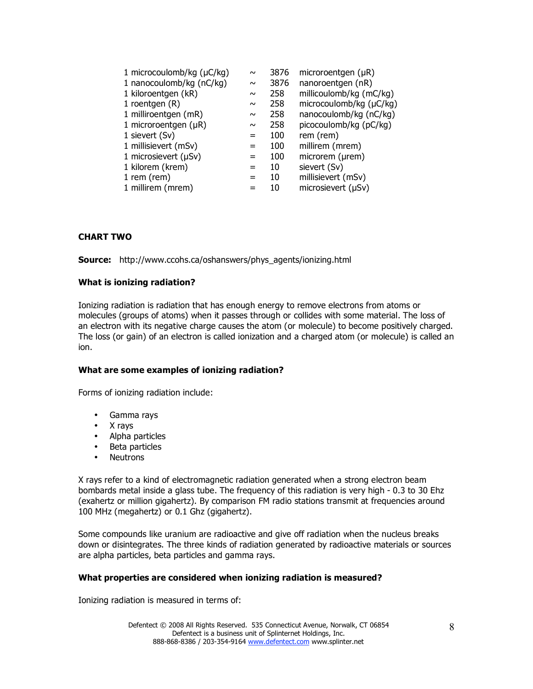| $\sim$ | 3876 | microroentgen $(\mu R)$ |
|--------|------|-------------------------|
| $\sim$ | 3876 | nanoroentgen (nR)       |
| $\sim$ | 258  | millicoulomb/kg (mC/kg) |
| $\sim$ | 258  | microcoulomb/kg (µC/kg) |
| $\sim$ | 258  | nanocoulomb/kg (nC/kg)  |
| $\sim$ | 258  | picocoulomb/kg (pC/kg)  |
| $=$    | 100  | rem (rem)               |
| =      | 100  | millirem (mrem)         |
| =      | 100  | microrem (µrem)         |
| =      | 10   | sievert (Sv)            |
| =      | 10   | millisievert (mSv)      |
|        | 10   | microsievert (µSv)      |
|        |      |                         |

# **CHART TWO**

**Source:** http://www.ccohs.ca/oshanswers/phys\_agents/ionizing.html

### **What is ionizing radiation?**

Ionizing radiation is radiation that has enough energy to remove electrons from atoms or molecules (groups of atoms) when it passes through or collides with some material. The loss of an electron with its negative charge causes the atom (or molecule) to become positively charged. The loss (or gain) of an electron is called ionization and a charged atom (or molecule) is called an ion.

#### **What are some examples of ionizing radiation?**

Forms of ionizing radiation include:

- Gamma rays
- X rays
- Alpha particles
- Beta particles
- Neutrons

X rays refer to a kind of electromagnetic radiation generated when a strong electron beam bombards metal inside a glass tube. The frequency of this radiation is very high - 0.3 to 30 Ehz (exahertz or million gigahertz). By comparison FM radio stations transmit at frequencies around 100 MHz (megahertz) or 0.1 Ghz (gigahertz).

Some compounds like uranium are radioactive and give off radiation when the nucleus breaks down or disintegrates. The three kinds of radiation generated by radioactive materials or sources are alpha particles, beta particles and gamma rays.

#### **What properties are considered when ionizing radiation is measured?**

Ionizing radiation is measured in terms of: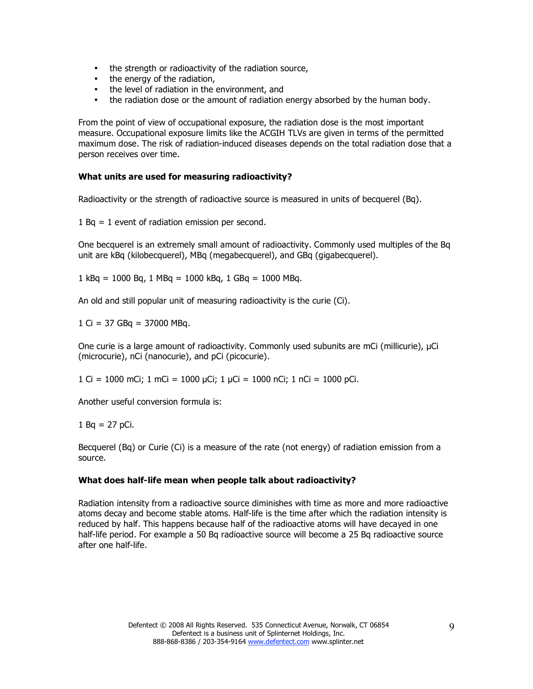- the strength or radioactivity of the radiation source,
- the energy of the radiation,
- the level of radiation in the environment, and
- the radiation dose or the amount of radiation energy absorbed by the human body.

From the point of view of occupational exposure, the radiation dose is the most important measure. Occupational exposure limits like the ACGIH TLVs are given in terms of the permitted maximum dose. The risk of radiation-induced diseases depends on the total radiation dose that a person receives over time.

### **What units are used for measuring radioactivity?**

Radioactivity or the strength of radioactive source is measured in units of becquerel (Bq).

1 Bq = 1 event of radiation emission per second.

One becquerel is an extremely small amount of radioactivity. Commonly used multiples of the Bq unit are kBq (kilobecquerel), MBq (megabecquerel), and GBq (gigabecquerel).

1 kBq = 1000 Bq, 1 MBq = 1000 kBq, 1 GBq = 1000 MBq.

An old and still popular unit of measuring radioactivity is the curie (Ci).

 $1$  Ci = 37 GBq = 37000 MBq.

One curie is a large amount of radioactivity. Commonly used subunits are mCi (millicurie), µCi (microcurie), nCi (nanocurie), and pCi (picocurie).

1 Ci = 1000 mCi; 1 mCi = 1000 µCi; 1 µCi = 1000 nCi; 1 nCi = 1000 pCi.

Another useful conversion formula is:

1 Bq =  $27$  pCi.

Becquerel (Bq) or Curie (Ci) is a measure of the rate (not energy) of radiation emission from a source.

#### **What does half-life mean when people talk about radioactivity?**

Radiation intensity from a radioactive source diminishes with time as more and more radioactive atoms decay and become stable atoms. Half-life is the time after which the radiation intensity is reduced by half. This happens because half of the radioactive atoms will have decayed in one half-life period. For example a 50 Bq radioactive source will become a 25 Bq radioactive source after one half-life.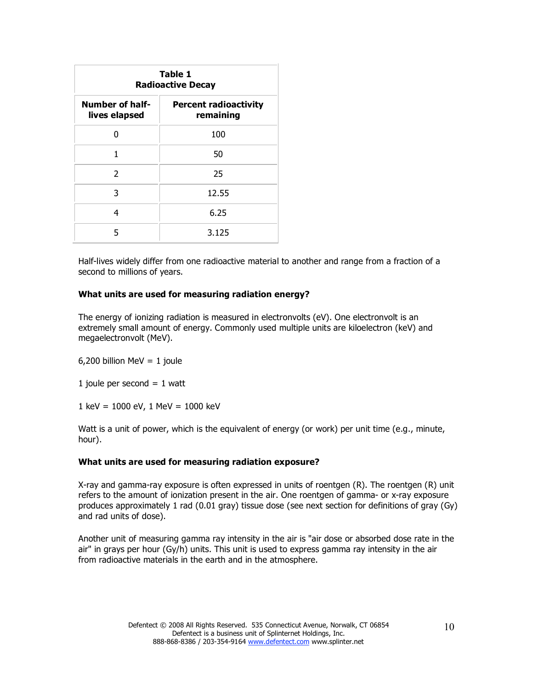| Table 1<br><b>Radioactive Decay</b>     |                                           |  |  |
|-----------------------------------------|-------------------------------------------|--|--|
| <b>Number of half-</b><br>lives elapsed | <b>Percent radioactivity</b><br>remaining |  |  |
| n                                       | 100                                       |  |  |
| 1                                       | 50                                        |  |  |
| $\mathcal{P}$                           | 25                                        |  |  |
| 3                                       | 12.55                                     |  |  |
| 4                                       | 6.25                                      |  |  |
| 5                                       | 3.125                                     |  |  |

Half-lives widely differ from one radioactive material to another and range from a fraction of a second to millions of years.

#### **What units are used for measuring radiation energy?**

The energy of ionizing radiation is measured in electronvolts (eV). One electronvolt is an extremely small amount of energy. Commonly used multiple units are kiloelectron (keV) and megaelectronvolt (MeV).

6,200 billion MeV =  $1$  joule

1 joule per second  $= 1$  watt

1 keV = 1000 eV, 1 MeV = 1000 keV

Watt is a unit of power, which is the equivalent of energy (or work) per unit time (e.g., minute, hour).

#### **What units are used for measuring radiation exposure?**

X-ray and gamma-ray exposure is often expressed in units of roentgen (R). The roentgen (R) unit refers to the amount of ionization present in the air. One roentgen of gamma- or x-ray exposure produces approximately 1 rad (0.01 gray) tissue dose (see next section for definitions of gray (Gy) and rad units of dose).

Another unit of measuring gamma ray intensity in the air is "air dose or absorbed dose rate in the air" in grays per hour (Gy/h) units. This unit is used to express gamma ray intensity in the air from radioactive materials in the earth and in the atmosphere.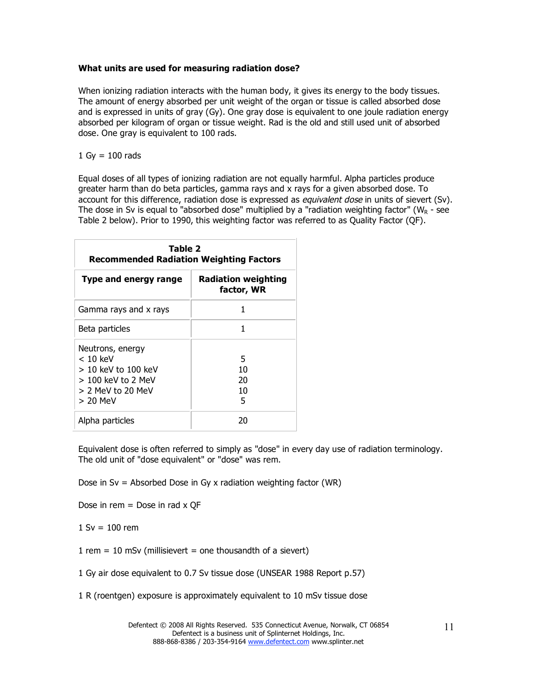### **What units are used for measuring radiation dose?**

When ionizing radiation interacts with the human body, it gives its energy to the body tissues. The amount of energy absorbed per unit weight of the organ or tissue is called absorbed dose and is expressed in units of gray (Gy). One gray dose is equivalent to one joule radiation energy absorbed per kilogram of organ or tissue weight. Rad is the old and still used unit of absorbed dose. One gray is equivalent to 100 rads.

### $1$  Gy = 100 rads

Equal doses of all types of ionizing radiation are not equally harmful. Alpha particles produce greater harm than do beta particles, gamma rays and x rays for a given absorbed dose. To account for this difference, radiation dose is expressed as *equivalent dose* in units of sievert (Sv). The dose in Sv is equal to "absorbed dose" multiplied by a "radiation weighting factor" ( $W_R$  - see Table 2 below). Prior to 1990, this weighting factor was referred to as Quality Factor (QF).

| Table 2<br><b>Recommended Radiation Weighting Factors</b>                                                         |                                   |  |  |
|-------------------------------------------------------------------------------------------------------------------|-----------------------------------|--|--|
| <b>Type and energy range</b>                                                                                      | Radiation weighting<br>factor, WR |  |  |
| Gamma rays and x rays                                                                                             | 1                                 |  |  |
| Beta particles                                                                                                    | 1                                 |  |  |
| Neutrons, energy<br>$< 10$ keV<br>$>10$ keV to $100$ keV<br>> 100 keV to 2 MeV<br>$> 2$ MeV to 20 MeV<br>> 20 MeV | 5<br>10<br>20<br>10<br>5          |  |  |
| Alpha particles                                                                                                   | 20                                |  |  |

Equivalent dose is often referred to simply as "dose" in every day use of radiation terminology. The old unit of "dose equivalent" or "dose" was rem.

Dose in Sv = Absorbed Dose in Gy x radiation weighting factor (WR)

Dose in rem  $=$  Dose in rad x QF

 $1 Sv = 100 rem$ 

 $1$  rem = 10 mSv (millisievert = one thousandth of a sievert)

- 1 Gy air dose equivalent to 0.7 Sv tissue dose (UNSEAR 1988 Report p.57)
- 1 R (roentgen) exposure is approximately equivalent to 10 mSv tissue dose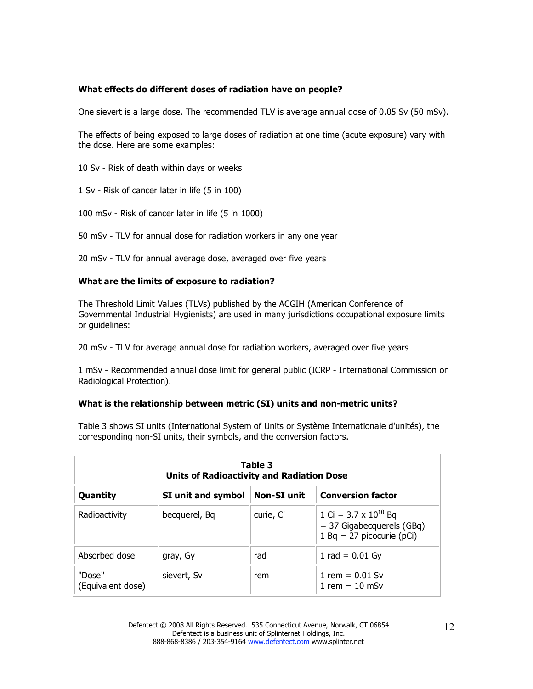# **What effects do different doses of radiation have on people?**

One sievert is a large dose. The recommended TLV is average annual dose of 0.05 Sv (50 mSv).

The effects of being exposed to large doses of radiation at one time (acute exposure) vary with the dose. Here are some examples:

10 Sv - Risk of death within days or weeks

1 Sv - Risk of cancer later in life (5 in 100)

100 mSv - Risk of cancer later in life (5 in 1000)

50 mSv - TLV for annual dose for radiation workers in any one year

20 mSv - TLV for annual average dose, averaged over five years

### **What are the limits of exposure to radiation?**

The Threshold Limit Values (TLVs) published by the ACGIH (American Conference of Governmental Industrial Hygienists) are used in many jurisdictions occupational exposure limits or guidelines:

20 mSv - TLV for average annual dose for radiation workers, averaged over five years

1 mSv - Recommended annual dose limit for general public (ICRP - International Commission on Radiological Protection).

#### **What is the relationship between metric (SI) units and non-metric units?**

Table 3 shows SI units (International System of Units or Système Internationale d'unités), the corresponding non-SI units, their symbols, and the conversion factors.

| Table 3<br><b>Units of Radioactivity and Radiation Dose</b> |                    |                    |                                                                                              |  |
|-------------------------------------------------------------|--------------------|--------------------|----------------------------------------------------------------------------------------------|--|
| Quantity                                                    | SI unit and symbol | <b>Non-SI unit</b> | <b>Conversion factor</b>                                                                     |  |
| Radioactivity                                               | becquerel, Bq      | curie, Ci          | 1 Ci = $3.7 \times 10^{10}$ Bq<br>$=$ 37 Gigabecquerels (GBq)<br>$1 Bq = 27$ picocurie (pCi) |  |
| Absorbed dose                                               | gray, Gy           | rad                | 1 rad = $0.01$ Gy                                                                            |  |
| "Dose"<br>(Equivalent dose)                                 | sievert, Sv        | rem                | 1 rem = $0.01$ Sv<br>1 rem = $10 \text{ mSv}$                                                |  |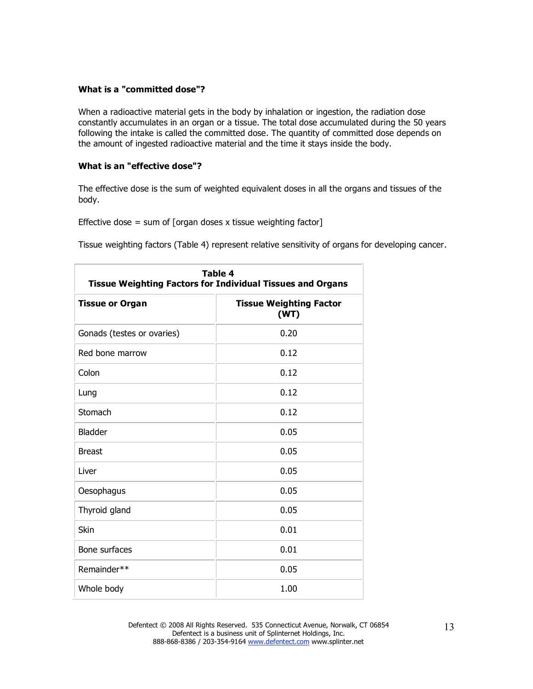### **What is a "committed dose"?**

When a radioactive material gets in the body by inhalation or ingestion, the radiation dose constantly accumulates in an organ or a tissue. The total dose accumulated during the 50 years following the intake is called the committed dose. The quantity of committed dose depends on the amount of ingested radioactive material and the time it stays inside the body.

### **What is an "effective dose"?**

The effective dose is the sum of weighted equivalent doses in all the organs and tissues of the body.

Effective dose = sum of [organ doses x tissue weighting factor]

Tissue weighting factors (Table 4) represent relative sensitivity of organs for developing cancer.

| <b>Table 4</b><br><b>Tissue Weighting Factors for Individual Tissues and Organs</b> |                                        |  |  |
|-------------------------------------------------------------------------------------|----------------------------------------|--|--|
| <b>Tissue or Organ</b>                                                              | <b>Tissue Weighting Factor</b><br>(WT) |  |  |
| Gonads (testes or ovaries)                                                          | 0.20                                   |  |  |
| Red bone marrow                                                                     | 0.12                                   |  |  |
| Colon                                                                               | 0.12                                   |  |  |
| Lung                                                                                | 0.12                                   |  |  |
| Stomach                                                                             | 0.12                                   |  |  |
| <b>Bladder</b>                                                                      | 0.05                                   |  |  |
| <b>Breast</b>                                                                       | 0.05                                   |  |  |
| Liver                                                                               | 0.05                                   |  |  |
| Oesophagus                                                                          | 0.05                                   |  |  |
| Thyroid gland                                                                       | 0.05                                   |  |  |
| Skin                                                                                | 0.01                                   |  |  |
| Bone surfaces                                                                       | 0.01                                   |  |  |
| Remainder**                                                                         | 0.05                                   |  |  |
| Whole body                                                                          | 1.00                                   |  |  |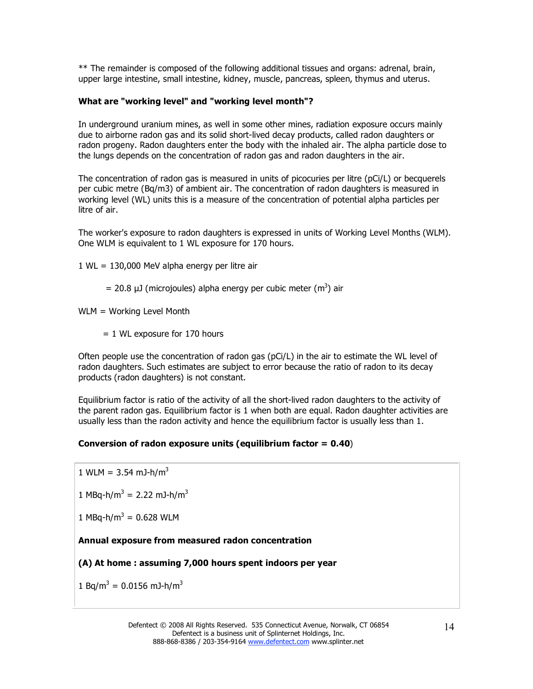\*\* The remainder is composed of the following additional tissues and organs: adrenal, brain, upper large intestine, small intestine, kidney, muscle, pancreas, spleen, thymus and uterus.

# **What are "working level" and "working level month"?**

In underground uranium mines, as well in some other mines, radiation exposure occurs mainly due to airborne radon gas and its solid short-lived decay products, called radon daughters or radon progeny. Radon daughters enter the body with the inhaled air. The alpha particle dose to the lungs depends on the concentration of radon gas and radon daughters in the air.

The concentration of radon gas is measured in units of picocuries per litre (pCi/L) or becquerels per cubic metre (Bq/m3) of ambient air. The concentration of radon daughters is measured in working level (WL) units this is a measure of the concentration of potential alpha particles per litre of air.

The worker's exposure to radon daughters is expressed in units of Working Level Months (WLM). One WLM is equivalent to 1 WL exposure for 170 hours.

- 1 WL = 130,000 MeV alpha energy per litre air
	- = 20.8  $\mu$ J (microjoules) alpha energy per cubic meter (m<sup>3</sup>) air

WLM = Working Level Month

= 1 WL exposure for 170 hours

Often people use the concentration of radon gas (pCi/L) in the air to estimate the WL level of radon daughters. Such estimates are subject to error because the ratio of radon to its decay products (radon daughters) is not constant.

Equilibrium factor is ratio of the activity of all the short-lived radon daughters to the activity of the parent radon gas. Equilibrium factor is 1 when both are equal. Radon daughter activities are usually less than the radon activity and hence the equilibrium factor is usually less than 1.

# **Conversion of radon exposure units (equilibrium factor = 0.40**)

1 WLM =  $3.54$  mJ-h/m<sup>3</sup>

1 MBq-h/m<sup>3</sup> = 2.22 mJ-h/m<sup>3</sup>

 $1 \text{ MBq-h/m}^3 = 0.628 \text{ WLM}$ 

# **Annual exposure from measured radon concentration**

# **(A) At home : assuming 7,000 hours spent indoors per year**

 $1$  Bq/m<sup>3</sup> = 0.0156 mJ-h/m<sup>3</sup>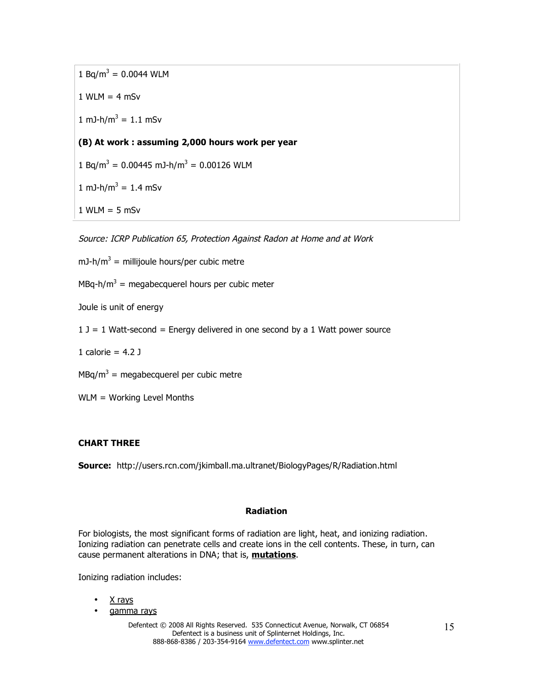$1$  Bq/m<sup>3</sup> = 0.0044 WLM  $1$  WLM = 4 mSv 1 mJ-h/m<sup>3</sup> = 1.1 mSv **(B) At work : assuming 2,000 hours work per year**   $1$  Bq/m<sup>3</sup> = 0.00445 mJ-h/m<sup>3</sup> = 0.00126 WLM 1 mJ-h/m<sup>3</sup> = 1.4 mSv  $1$  WLM = 5 mSv

Source: ICRP Publication 65, Protection Against Radon at Home and at Work

mJ-h/m<sup>3</sup> = millijoule hours/per cubic metre

 $MBq-h/m^3$  = megabecquerel hours per cubic meter

Joule is unit of energy

 $1 J = 1$  Watt-second = Energy delivered in one second by a 1 Watt power source

1 calorie =  $4.2$  J

 $MBq/m^3$  = megabecquerel per cubic metre

WLM = Working Level Months

# **CHART THREE**

**Source:** http://users.rcn.com/jkimball.ma.ultranet/BiologyPages/R/Radiation.html

# **Radiation**

For biologists, the most significant forms of radiation are light, heat, and ionizing radiation. Ionizing radiation can penetrate cells and create ions in the cell contents. These, in turn, can cause permanent alterations in DNA; that is, **mutations**.

Ionizing radiation includes:

- X rays
- gamma rays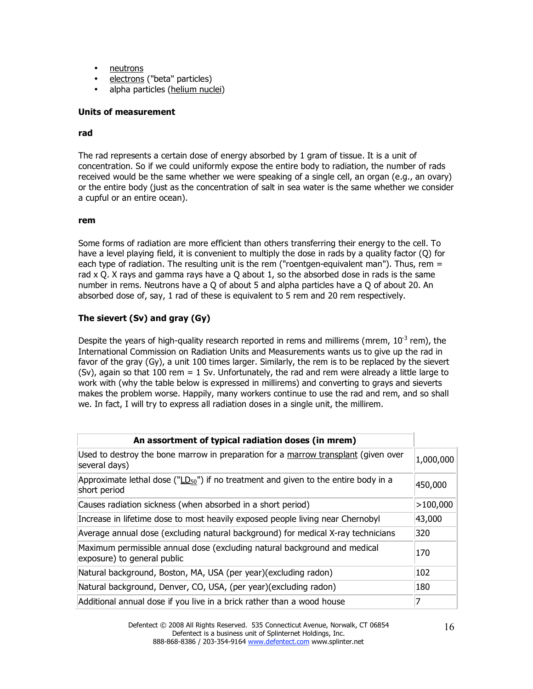- neutrons
- electrons ("beta" particles)
- alpha particles (helium nuclei)

#### **Units of measurement**

#### **rad**

The rad represents a certain dose of energy absorbed by 1 gram of tissue. It is a unit of concentration. So if we could uniformly expose the entire body to radiation, the number of rads received would be the same whether we were speaking of a single cell, an organ (e.g., an ovary) or the entire body (just as the concentration of salt in sea water is the same whether we consider a cupful or an entire ocean).

#### **rem**

Some forms of radiation are more efficient than others transferring their energy to the cell. To have a level playing field, it is convenient to multiply the dose in rads by a quality factor (Q) for each type of radiation. The resulting unit is the rem ("roentgen-equivalent man"). Thus, rem = rad x Q. X rays and gamma rays have a Q about 1, so the absorbed dose in rads is the same number in rems. Neutrons have a Q of about 5 and alpha particles have a Q of about 20. An absorbed dose of, say, 1 rad of these is equivalent to 5 rem and 20 rem respectively.

# **The sievert (Sv) and gray (Gy)**

Despite the years of high-quality research reported in rems and millirems (mrem,  $10^{-3}$  rem), the International Commission on Radiation Units and Measurements wants us to give up the rad in favor of the gray (Gy), a unit 100 times larger. Similarly, the rem is to be replaced by the sievert (Sv), again so that 100 rem = 1 Sv. Unfortunately, the rad and rem were already a little large to work with (why the table below is expressed in millirems) and converting to grays and sieverts makes the problem worse. Happily, many workers continue to use the rad and rem, and so shall we. In fact, I will try to express all radiation doses in a single unit, the millirem.

| An assortment of typical radiation doses (in mrem)                                                        |           |
|-----------------------------------------------------------------------------------------------------------|-----------|
| Used to destroy the bone marrow in preparation for a marrow transplant (given over<br>several days)       | 1,000,000 |
| Approximate lethal dose ( $"LD_{50}"$ ) if no treatment and given to the entire body in a<br>short period | 450,000   |
| Causes radiation sickness (when absorbed in a short period)                                               | >100,000  |
| Increase in lifetime dose to most heavily exposed people living near Chernobyl                            | 43,000    |
| Average annual dose (excluding natural background) for medical X-ray technicians                          | 320       |
| Maximum permissible annual dose (excluding natural background and medical<br>exposure) to general public  | 170       |
| Natural background, Boston, MA, USA (per year)(excluding radon)                                           | 102       |
| Natural background, Denver, CO, USA, (per year)(excluding radon)                                          | 180       |
| Additional annual dose if you live in a brick rather than a wood house                                    | 7         |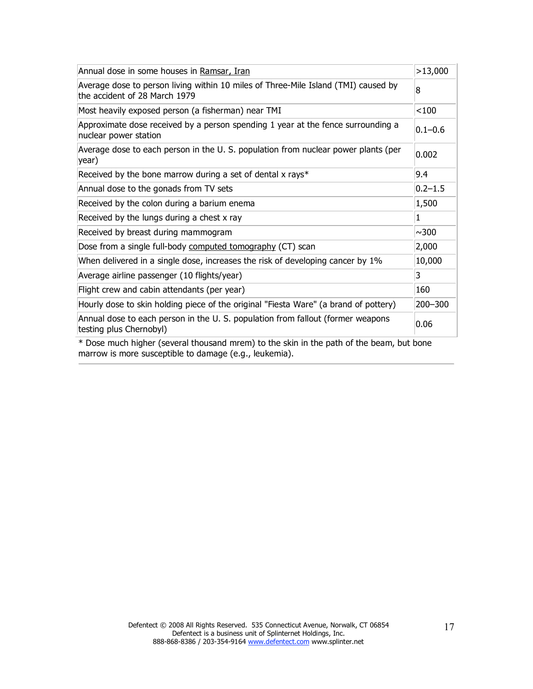| Annual dose in some houses in Ramsar, Iran                                                                          | >13,000     |
|---------------------------------------------------------------------------------------------------------------------|-------------|
| Average dose to person living within 10 miles of Three-Mile Island (TMI) caused by<br>the accident of 28 March 1979 | 8           |
| Most heavily exposed person (a fisherman) near TMI                                                                  | < 100       |
| Approximate dose received by a person spending 1 year at the fence surrounding a<br>nuclear power station           | $0.1 - 0.6$ |
| Average dose to each person in the U.S. population from nuclear power plants (per<br>year)                          | 0.002       |
| Received by the bone marrow during a set of dental x rays*                                                          | 9.4         |
| Annual dose to the gonads from TV sets                                                                              | $0.2 - 1.5$ |
| Received by the colon during a barium enema                                                                         | 1,500       |
| Received by the lungs during a chest x ray                                                                          | 1           |
| Received by breast during mammogram                                                                                 | ~100        |
| Dose from a single full-body computed tomography (CT) scan                                                          | 2,000       |
| When delivered in a single dose, increases the risk of developing cancer by 1%                                      | 10,000      |
| Average airline passenger (10 flights/year)                                                                         | 3           |
| Flight crew and cabin attendants (per year)                                                                         | 160         |
| Hourly dose to skin holding piece of the original "Fiesta Ware" (a brand of pottery)                                | 200-300     |
| Annual dose to each person in the U.S. population from fallout (former weapons<br>testing plus Chernobyl)           | 0.06        |
| * Dose much higher (several thousand mrem) to the skin in the path of the beam, but bone                            |             |

marrow is more susceptible to damage (e.g., leukemia).